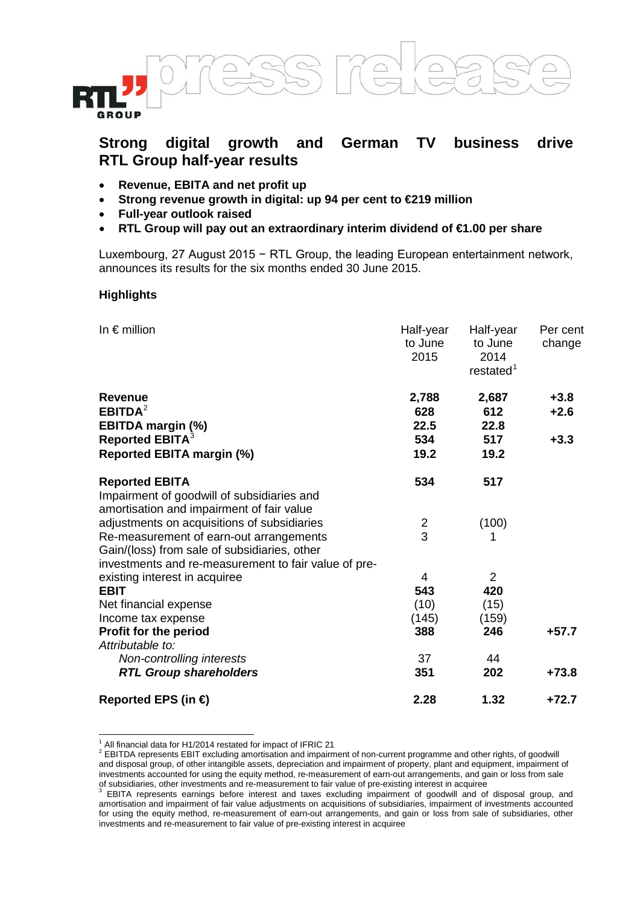



- **Revenue, EBITA and net profit up**
- **Strong revenue growth in digital: up 94 per cent to €219 million**
- **Full-year outlook raised**
- **RTL Group will pay out an extraordinary interim dividend of €1.00 per share**

Luxembourg, 27 August 2015 − RTL Group, the leading European entertainment network, announces its results for the six months ended 30 June 2015.

#### **Highlights**

-

| In $\epsilon$ million                                                                                                                                                                          | Half-year<br>to June<br>2015 | Half-year<br>to June<br>2014<br>restated <sup>1</sup> | Per cent<br>change |
|------------------------------------------------------------------------------------------------------------------------------------------------------------------------------------------------|------------------------------|-------------------------------------------------------|--------------------|
| <b>Revenue</b><br>EBITDA <sup>2</sup><br><b>EBITDA margin (%)</b>                                                                                                                              | 2,788<br>628<br>22.5         | 2,687<br>612<br>22.8                                  | $+3.8$<br>$+2.6$   |
| Reported EBITA <sup>3</sup><br><b>Reported EBITA margin (%)</b>                                                                                                                                | 534<br>19.2                  | 517<br>19.2                                           | $+3.3$             |
| <b>Reported EBITA</b><br>Impairment of goodwill of subsidiaries and<br>amortisation and impairment of fair value                                                                               | 534                          | 517                                                   |                    |
| adjustments on acquisitions of subsidiaries<br>Re-measurement of earn-out arrangements<br>Gain/(loss) from sale of subsidiaries, other<br>investments and re-measurement to fair value of pre- | 2<br>3                       | (100)<br>1                                            |                    |
| existing interest in acquiree<br><b>EBIT</b><br>Net financial expense                                                                                                                          | 4<br>543<br>(10)             | 2<br>420<br>(15)                                      |                    |
| Income tax expense<br><b>Profit for the period</b>                                                                                                                                             | (145)<br>388                 | (159)<br>246                                          | $+57.7$            |
| Attributable to:<br>Non-controlling interests<br><b>RTL Group shareholders</b>                                                                                                                 | 37<br>351                    | 44<br>202                                             | $+73.8$            |
| Reported EPS (in $\bigoplus$                                                                                                                                                                   | 2.28                         | 1.32                                                  | $+72.7$            |

 $1$  All financial data for H1/2014 restated for impact of IFRIC 21

<span id="page-0-1"></span><span id="page-0-0"></span><sup>2</sup> EBITDA represents EBIT excluding amortisation and impairment of non-current programme and other rights, of goodwill and disposal group, of other intangible assets, depreciation and impairment of property, plant and equipment, impairment of investments accounted for using the equity method, re-measurement of earn-out arrangements, and gain or loss from sale

<span id="page-0-2"></span>of subsidiaries, other investments and re-measurement to fair value of pre-existing interest in acquiree<br><sup>3</sup> EBITA represents earnings before interest and taxes excluding impairment of goodwill and of disposal group, and amortisation and impairment of fair value adjustments on acquisitions of subsidiaries, impairment of investments accounted for using the equity method, re-measurement of earn-out arrangements, and gain or loss from sale of subsidiaries, other investments and re-measurement to fair value of pre-existing interest in acquiree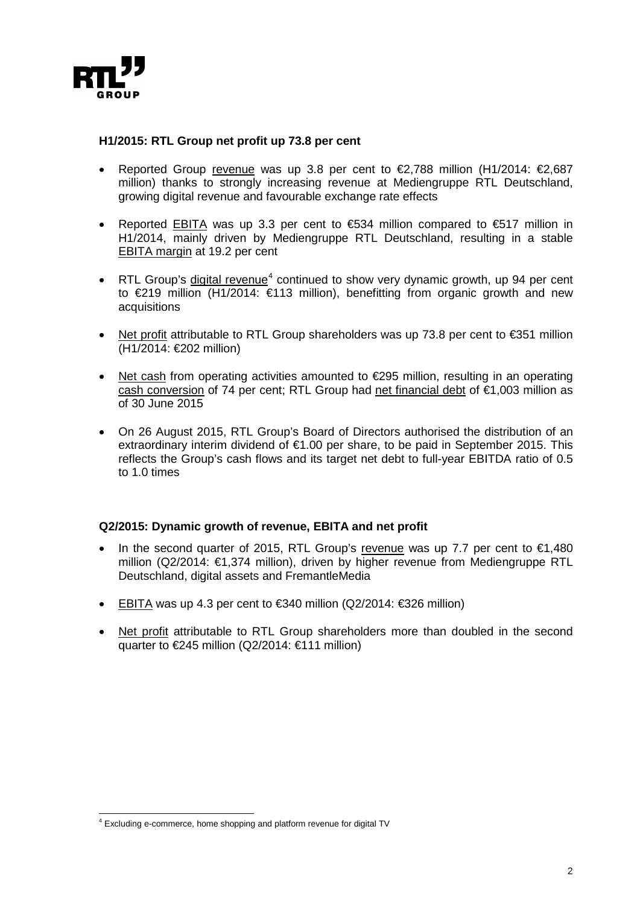

#### **H1/2015: RTL Group net profit up 73.8 per cent**

- Reported Group revenue was up 3.8 per cent to  $\epsilon$ 2,788 million (H1/2014:  $\epsilon$ 2,687 million) thanks to strongly increasing revenue at Mediengruppe RTL Deutschland, growing digital revenue and favourable exchange rate effects
- Reported EBITA was up 3.3 per cent to €534 million compared to €517 million in H1/2014, mainly driven by Mediengruppe RTL Deutschland, resulting in a stable EBITA margin at 19.2 per cent
- RTL Group's digital revenue<sup>[4](#page-1-0)</sup> continued to show very dynamic growth, up 94 per cent to €219 million (H1/2014: €113 million), benefitting from organic growth and new acquisitions
- Net profit attributable to RTL Group shareholders was up 73.8 per cent to €351 million (H1/2014: €202 million)
- Net cash from operating activities amounted to €295 million, resulting in an operating cash conversion of 74 per cent; RTL Group had net financial debt of  $\epsilon$ 1,003 million as of 30 June 2015
- On 26 August 2015, RTL Group's Board of Directors authorised the distribution of an extraordinary interim dividend of €1.00 per share, to be paid in September 2015. This reflects the Group's cash flows and its target net debt to full-year EBITDA ratio of 0.5 to 1.0 times

## **Q2/2015: Dynamic growth of revenue, EBITA and net profit**

- In the second quarter of 2015, RTL Group's revenue was up 7.7 per cent to  $\epsilon$ 1,480 million (Q2/2014: €1,374 million), driven by higher revenue from Mediengruppe RTL Deutschland, digital assets and FremantleMedia
- EBITA was up 4.3 per cent to €340 million (Q2/2014:  $€326$  million)
- Net profit attributable to RTL Group shareholders more than doubled in the second quarter to €245 million (Q2/2014: €111 million)

<span id="page-1-0"></span><sup>4</sup> Excluding e-commerce, home shopping and platform revenue for digital TV l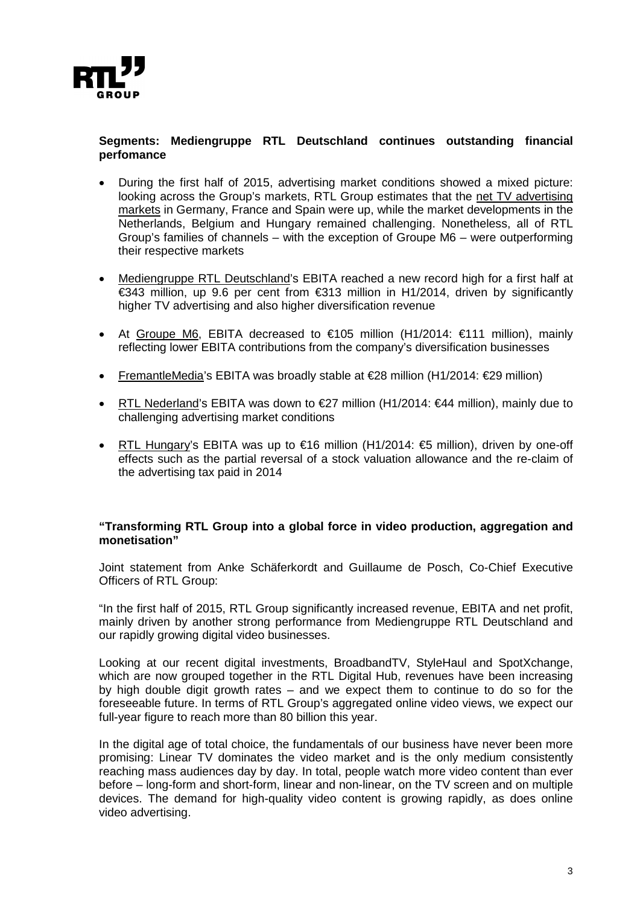

# **Segments: Mediengruppe RTL Deutschland continues outstanding financial perfomance**

- During the first half of 2015, advertising market conditions showed a mixed picture: looking across the Group's markets, RTL Group estimates that the net TV advertising markets in Germany, France and Spain were up, while the market developments in the Netherlands, Belgium and Hungary remained challenging. Nonetheless, all of RTL Group's families of channels – with the exception of Groupe M6 – were outperforming their respective markets
- Mediengruppe RTL Deutschland's EBITA reached a new record high for a first half at €343 million, up 9.6 per cent from €313 million in H1/2014, driven by significantly higher TV advertising and also higher diversification revenue
- At Groupe M6, EBITA decreased to €105 million (H1/2014: €111 million), mainly reflecting lower EBITA contributions from the company's diversification businesses
- FremantleMedia's EBITA was broadly stable at €28 million (H1/2014: €29 million)
- RTL Nederland's EBITA was down to  $\epsilon$ 27 million (H1/2014:  $\epsilon$ 44 million), mainly due to challenging advertising market conditions
- RTL Hungary's EBITA was up to  $\epsilon$ 16 million (H1/2014:  $\epsilon$ 5 million), driven by one-off effects such as the partial reversal of a stock valuation allowance and the re-claim of the advertising tax paid in 2014

## **"Transforming RTL Group into a global force in video production, aggregation and monetisation"**

Joint statement from Anke Schäferkordt and Guillaume de Posch, Co-Chief Executive Officers of RTL Group:

"In the first half of 2015, RTL Group significantly increased revenue, EBITA and net profit, mainly driven by another strong performance from Mediengruppe RTL Deutschland and our rapidly growing digital video businesses.

Looking at our recent digital investments, BroadbandTV, StyleHaul and SpotXchange, which are now grouped together in the RTL Digital Hub, revenues have been increasing by high double digit growth rates – and we expect them to continue to do so for the foreseeable future. In terms of RTL Group's aggregated online video views, we expect our full-year figure to reach more than 80 billion this year.

In the digital age of total choice, the fundamentals of our business have never been more promising: Linear TV dominates the video market and is the only medium consistently reaching mass audiences day by day. In total, people watch more video content than ever before – long-form and short-form, linear and non-linear, on the TV screen and on multiple devices. The demand for high-quality video content is growing rapidly, as does online video advertising.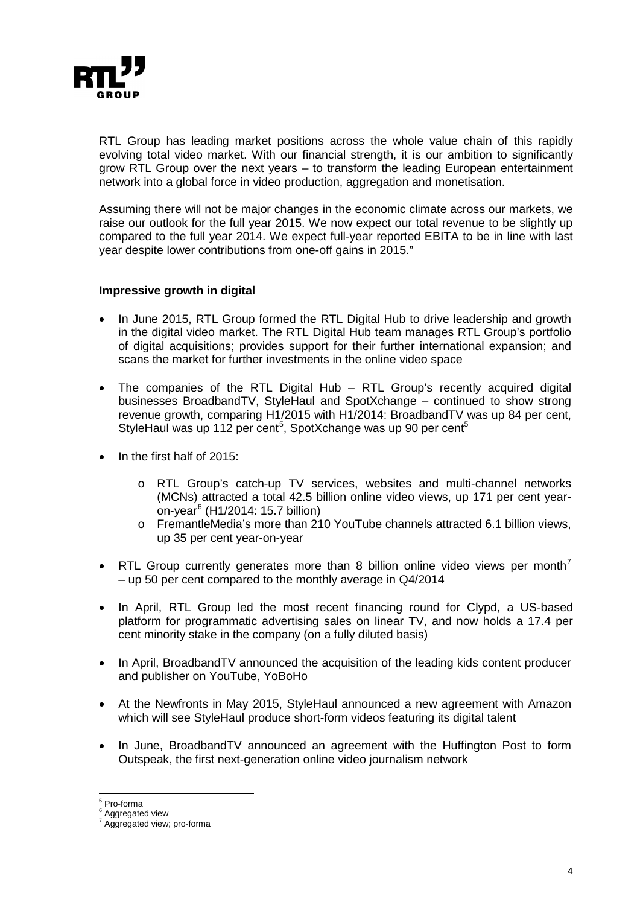

RTL Group has leading market positions across the whole value chain of this rapidly evolving total video market. With our financial strength, it is our ambition to significantly grow RTL Group over the next years – to transform the leading European entertainment network into a global force in video production, aggregation and monetisation.

Assuming there will not be major changes in the economic climate across our markets, we raise our outlook for the full year 2015. We now expect our total revenue to be slightly up compared to the full year 2014. We expect full-year reported EBITA to be in line with last year despite lower contributions from one-off gains in 2015."

## **Impressive growth in digital**

- In June 2015, RTL Group formed the RTL Digital Hub to drive leadership and growth in the digital video market. The RTL Digital Hub team manages RTL Group's portfolio of digital acquisitions; provides support for their further international expansion; and scans the market for further investments in the online video space
- The companies of the RTL Digital Hub  $-$  RTL Group's recently acquired digital businesses BroadbandTV, StyleHaul and SpotXchange – continued to show strong revenue growth, comparing H1/2015 with H1/2014: BroadbandTV was up 84 per cent, StyleHaul was up 112 per cent<sup>[5](#page-3-0)</sup>, SpotXchange was up 90 per cent<sup>5</sup>
- In the first half of 2015:
	- o RTL Group's catch-up TV services, websites and multi-channel networks (MCNs) attracted a total 42.5 billion online video views, up 171 per cent yearon-year $<sup>6</sup>$  $<sup>6</sup>$  $<sup>6</sup>$  (H1/2014: 15.7 billion)</sup>
	- o FremantleMedia's more than 210 YouTube channels attracted 6.1 billion views, up 35 per cent year-on-year
- RTL Group currently generates more than 8 billion online video views per month<sup>[7](#page-3-2)</sup> – up 50 per cent compared to the monthly average in Q4/2014
- In April, RTL Group led the most recent financing round for Clypd, a US-based platform for programmatic advertising sales on linear TV, and now holds a 17.4 per cent minority stake in the company (on a fully diluted basis)
- In April, BroadbandTV announced the acquisition of the leading kids content producer and publisher on YouTube, YoBoHo
- At the Newfronts in May 2015, StyleHaul announced a new agreement with Amazon which will see StyleHaul produce short-form videos featuring its digital talent
- In June, BroadbandTV announced an agreement with the Huffington Post to form Outspeak, the first next-generation online video journalism network

<span id="page-3-0"></span> $5$  Pro-forma

Aggregated view

<span id="page-3-2"></span><span id="page-3-1"></span><sup>7</sup> Aggregated view; pro-forma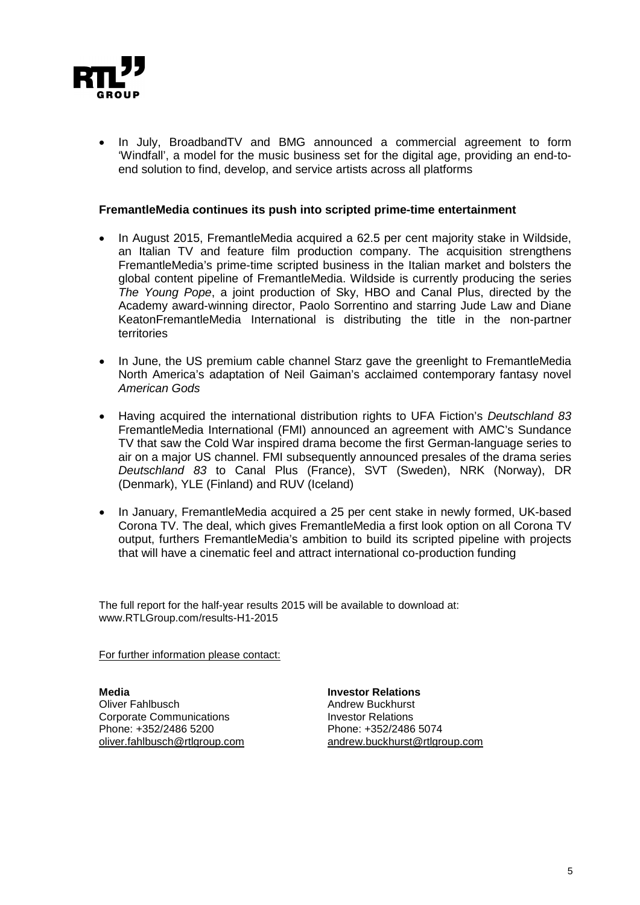

• In July, BroadbandTV and BMG announced a commercial agreement to form 'Windfall', a model for the music business set for the digital age, providing an end-toend solution to find, develop, and service artists across all platforms

#### **FremantleMedia continues its push into scripted prime-time entertainment**

- In August 2015, FremantleMedia acquired a 62.5 per cent majority stake in Wildside, an Italian TV and feature film production company. The acquisition strengthens FremantleMedia's prime-time scripted business in the Italian market and bolsters the global content pipeline of FremantleMedia. Wildside is currently producing the series *The Young Pope*, a joint production of Sky, HBO and Canal Plus, directed by the Academy award-winning director, Paolo Sorrentino and starring Jude Law and Diane KeatonFremantleMedia International is distributing the title in the non-partner territories
- In June, the US premium cable channel Starz gave the greenlight to FremantleMedia North America's adaptation of Neil Gaiman's acclaimed contemporary fantasy novel *American Gods*
- Having acquired the international distribution rights to UFA Fiction's *Deutschland 83* FremantleMedia International (FMI) announced an agreement with AMC's Sundance TV that saw the Cold War inspired drama become the first German-language series to air on a major US channel. FMI subsequently announced presales of the drama series *Deutschland 83* to Canal Plus (France), SVT (Sweden), NRK (Norway), DR (Denmark), YLE (Finland) and RUV (Iceland)
- In January, FremantleMedia acquired a 25 per cent stake in newly formed, UK-based Corona TV. The deal, which gives FremantleMedia a first look option on all Corona TV output, furthers FremantleMedia's ambition to build its scripted pipeline with projects that will have a cinematic feel and attract international co-production funding

The full report for the half-year results 2015 will be available to download at: www.RTLGroup.com/results-H1-2015

For further information please contact:

**Media Investor Relations** Corporate Communications Phone: +352/2486 5200 Phone: +352/2486 5074

Andrew Buckhurst<br>Investor Relations [oliver.fahlbusch@rtlgroup.com](mailto:oliver.fahlbusch@rtlgroup.com) [andrew.buckhurst@rtlgroup.com](mailto:andrew.buckhurst@rtlgroup.com)